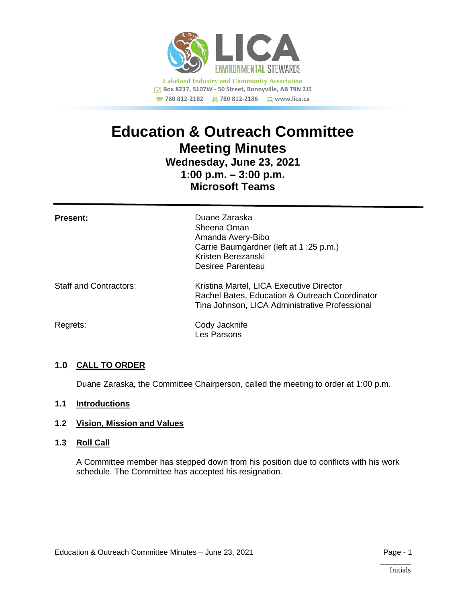

# **Education & Outreach Committee Meeting Minutes**

# **Wednesday, June 23, 2021 1:00 p.m. – 3:00 p.m. Microsoft Teams**

| <b>Present:</b>               | Duane Zaraska<br>Sheena Oman<br>Amanda Avery-Bibo<br>Carrie Baumgardner (left at 1:25 p.m.)<br>Kristen Berezanski<br>Desiree Parenteau       |
|-------------------------------|----------------------------------------------------------------------------------------------------------------------------------------------|
| <b>Staff and Contractors:</b> | Kristina Martel, LICA Executive Director<br>Rachel Bates, Education & Outreach Coordinator<br>Tina Johnson, LICA Administrative Professional |
| Regrets:                      | Cody Jacknife<br>Les Parsons                                                                                                                 |

# **1.0 CALL TO ORDER**

Duane Zaraska, the Committee Chairperson, called the meeting to order at 1:00 p.m.

# **1.1 Introductions**

## **1.2 Vision, Mission and Values**

#### **1.3 Roll Call**

A Committee member has stepped down from his position due to conflicts with his work schedule. The Committee has accepted his resignation.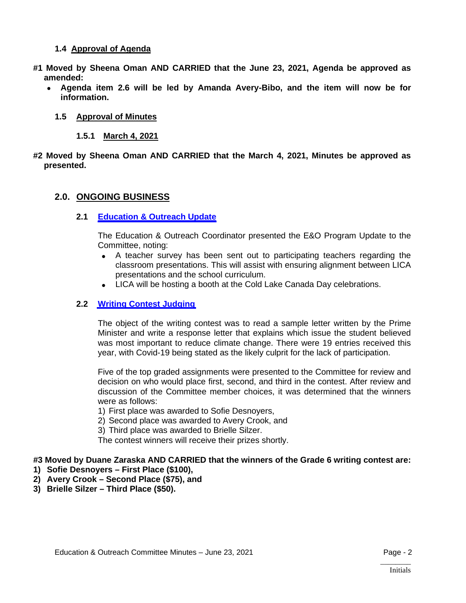## **1.4 Approval of Agenda**

- **#1 Moved by Sheena Oman AND CARRIED that the June 23, 2021, Agenda be approved as amended:**
	- **Agenda item 2.6 will be led by Amanda Avery-Bibo, and the item will now be for information.**

#### **1.5 Approval of Minutes**

- **1.5.1 March 4, 2021**
- **#2 Moved by Sheena Oman AND CARRIED that the March 4, 2021, Minutes be approved as presented.**

#### **2.0. ONGOING BUSINESS**

#### **2.1 [Education & Outreach](https://lica2.sharepoint.com/:b:/s/Office/EVFqI8KLXudCnSqf2GB95lsBJd6_l8A-OmPR3SRvtOVngQ?e=d7kfsV) Update**

The Education & Outreach Coordinator presented the E&O Program Update to the Committee, noting:

- A teacher survey has been sent out to participating teachers regarding the classroom presentations. This will assist with ensuring alignment between LICA presentations and the school curriculum.
- LICA will be hosting a booth at the Cold Lake Canada Day celebrations.

#### **2.2 [Writing Contest Judging](https://lica2.sharepoint.com/:b:/s/Office/EQc7PXuYtWJDrBJOUkcqU7IBqe1qiWO-Jyg-A7CpfbpFOg?e=V6Wzb8)**

The object of the writing contest was to read a sample letter written by the Prime Minister and write a response letter that explains which issue the student believed was most important to reduce climate change. There were 19 entries received this year, with Covid-19 being stated as the likely culprit for the lack of participation.

Five of the top graded assignments were presented to the Committee for review and decision on who would place first, second, and third in the contest. After review and discussion of the Committee member choices, it was determined that the winners were as follows:

1) First place was awarded to Sofie Desnoyers,

- 2) Second place was awarded to Avery Crook, and
- 3) Third place was awarded to Brielle Silzer.

The contest winners will receive their prizes shortly.

#### **#3 Moved by Duane Zaraska AND CARRIED that the winners of the Grade 6 writing contest are:**

- **1) Sofie Desnoyers First Place (\$100),**
- **2) Avery Crook Second Place (\$75), and**
- **3) Brielle Silzer Third Place (\$50).**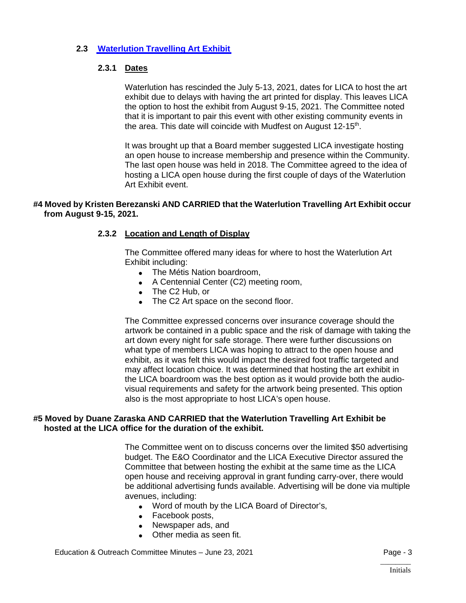# **2.3 [Waterlution Travelling Art](https://lica2.sharepoint.com/:b:/s/Office/ERpl_yaikJJLtt_Yz5adfLgBWBM36Sa_QJPeKmzD9CbCdQ?e=4xfiDK) Exhibit**

# **2.3.1 Dates**

Waterlution has rescinded the July 5-13, 2021, dates for LICA to host the art exhibit due to delays with having the art printed for display. This leaves LICA the option to host the exhibit from August 9-15, 2021. The Committee noted that it is important to pair this event with other existing community events in the area. This date will coincide with Mudfest on August 12-15<sup>th</sup>.

It was brought up that a Board member suggested LICA investigate hosting an open house to increase membership and presence within the Community. The last open house was held in 2018. The Committee agreed to the idea of hosting a LICA open house during the first couple of days of the Waterlution Art Exhibit event.

#### **#4 Moved by Kristen Berezanski AND CARRIED that the Waterlution Travelling Art Exhibit occur from August 9-15, 2021.**

#### **2.3.2 Location and Length of Display**

The Committee offered many ideas for where to host the Waterlution Art Exhibit including:

- The Métis Nation boardroom,
- A Centennial Center (C2) meeting room,
- The C2 Hub, or
- The C2 Art space on the second floor.

The Committee expressed concerns over insurance coverage should the artwork be contained in a public space and the risk of damage with taking the art down every night for safe storage. There were further discussions on what type of members LICA was hoping to attract to the open house and exhibit, as it was felt this would impact the desired foot traffic targeted and may affect location choice. It was determined that hosting the art exhibit in the LICA boardroom was the best option as it would provide both the audiovisual requirements and safety for the artwork being presented. This option also is the most appropriate to host LICA's open house.

#### **#5 Moved by Duane Zaraska AND CARRIED that the Waterlution Travelling Art Exhibit be hosted at the LICA office for the duration of the exhibit.**

The Committee went on to discuss concerns over the limited \$50 advertising budget. The E&O Coordinator and the LICA Executive Director assured the Committee that between hosting the exhibit at the same time as the LICA open house and receiving approval in grant funding carry-over, there would be additional advertising funds available. Advertising will be done via multiple avenues, including:

- Word of mouth by the LICA Board of Director's,
- Facebook posts,
- Newspaper ads, and
- Other media as seen fit.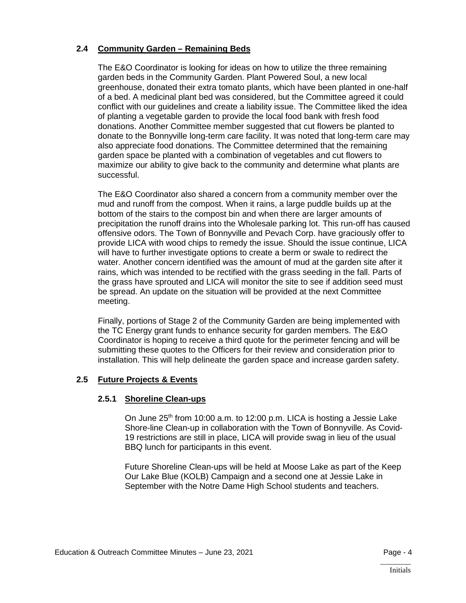# **2.4 Community Garden – Remaining Beds**

The E&O Coordinator is looking for ideas on how to utilize the three remaining garden beds in the Community Garden. Plant Powered Soul, a new local greenhouse, donated their extra tomato plants, which have been planted in one-half of a bed. A medicinal plant bed was considered, but the Committee agreed it could conflict with our guidelines and create a liability issue. The Committee liked the idea of planting a vegetable garden to provide the local food bank with fresh food donations. Another Committee member suggested that cut flowers be planted to donate to the Bonnyville long-term care facility. It was noted that long-term care may also appreciate food donations. The Committee determined that the remaining garden space be planted with a combination of vegetables and cut flowers to maximize our ability to give back to the community and determine what plants are successful.

The E&O Coordinator also shared a concern from a community member over the mud and runoff from the compost. When it rains, a large puddle builds up at the bottom of the stairs to the compost bin and when there are larger amounts of precipitation the runoff drains into the Wholesale parking lot. This run-off has caused offensive odors. The Town of Bonnyville and Pevach Corp. have graciously offer to provide LICA with wood chips to remedy the issue. Should the issue continue, LICA will have to further investigate options to create a berm or swale to redirect the water. Another concern identified was the amount of mud at the garden site after it rains, which was intended to be rectified with the grass seeding in the fall. Parts of the grass have sprouted and LICA will monitor the site to see if addition seed must be spread. An update on the situation will be provided at the next Committee meeting.

Finally, portions of Stage 2 of the Community Garden are being implemented with the TC Energy grant funds to enhance security for garden members. The E&O Coordinator is hoping to receive a third quote for the perimeter fencing and will be submitting these quotes to the Officers for their review and consideration prior to installation. This will help delineate the garden space and increase garden safety.

## **2.5 Future Projects & Events**

## **2.5.1 Shoreline Clean-ups**

On June  $25<sup>th</sup>$  from 10:00 a.m. to 12:00 p.m. LICA is hosting a Jessie Lake Shore-line Clean-up in collaboration with the Town of Bonnyville. As Covid-19 restrictions are still in place, LICA will provide swag in lieu of the usual BBQ lunch for participants in this event.

Future Shoreline Clean-ups will be held at Moose Lake as part of the Keep Our Lake Blue (KOLB) Campaign and a second one at Jessie Lake in September with the Notre Dame High School students and teachers.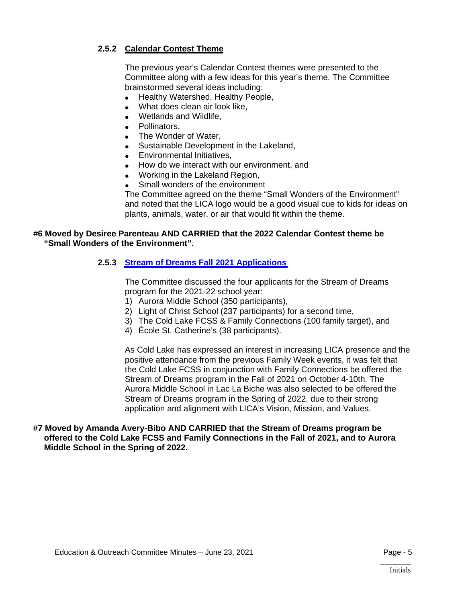# **2.5.2 Calendar Contest Theme**

The previous year's Calendar Contest themes were presented to the Committee along with a few ideas for this year's theme. The Committee brainstormed several ideas including:

- Healthy Watershed, Healthy People,
- What does clean air look like,
- Wetlands and Wildlife,
- Pollinators,
- The Wonder of Water,
- Sustainable Development in the Lakeland,
- Environmental Initiatives,
- How do we interact with our environment, and
- Working in the Lakeland Region,
- Small wonders of the environment

The Committee agreed on the theme "Small Wonders of the Environment" and noted that the LICA logo would be a good visual cue to kids for ideas on plants, animals, water, or air that would fit within the theme.

#### **#6 Moved by Desiree Parenteau AND CARRIED that the 2022 Calendar Contest theme be "Small Wonders of the Environment".**

# **2.5.3 [Stream of Dreams Fall](https://lica2.sharepoint.com/:b:/s/Office/Ea9v6Me5opRGi8A9GhJA3s0BpYlpHccvzN1PnLJlhw_U9Q?e=0E1332) 2021 Applications**

The Committee discussed the four applicants for the Stream of Dreams program for the 2021-22 school year:

- 1) Aurora Middle School (350 participants),
- 2) Light of Christ School (237 participants) for a second time,
- 3) The Cold Lake FCSS & Family Connections (100 family target), and
- 4) École St. Catherine's (38 participants).

As Cold Lake has expressed an interest in increasing LICA presence and the positive attendance from the previous Family Week events, it was felt that the Cold Lake FCSS in conjunction with Family Connections be offered the Stream of Dreams program in the Fall of 2021 on October 4-10th. The Aurora Middle School in Lac La Biche was also selected to be offered the Stream of Dreams program in the Spring of 2022, due to their strong application and alignment with LICA's Vision, Mission, and Values.

## **#7 Moved by Amanda Avery-Bibo AND CARRIED that the Stream of Dreams program be offered to the Cold Lake FCSS and Family Connections in the Fall of 2021, and to Aurora Middle School in the Spring of 2022.**